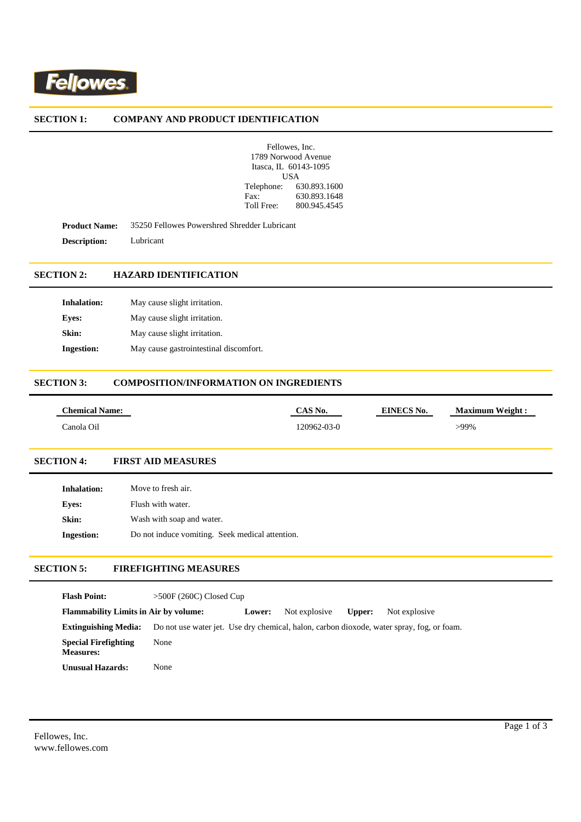

#### **SECTION 1: COMPANY AND PRODUCT IDENTIFICATION**

|                     | Fellowes, Inc.        |  |
|---------------------|-----------------------|--|
| 1789 Norwood Avenue |                       |  |
|                     | Itasca, IL 60143-1095 |  |
|                     | USA                   |  |
| Telephone:          | 630.893.1600          |  |
| $\text{Fax}:$       | 630.893.1648          |  |
| Toll Free:          | 800.945.4545          |  |

**Product Name:** 35250 Fellowes Powershred Shredder Lubricant **Description:** Lubricant

# **SECTION 2: HAZARD IDENTIFICATION**

| <b>Inhalation:</b> | May cause slight irritation.           |
|--------------------|----------------------------------------|
| Eves:              | May cause slight irritation.           |
| Skin:              | May cause slight irritation.           |
| <b>Ingestion:</b>  | May cause gastrointestinal discomfort. |

# **SECTION 3: COMPOSITION/INFORMATION ON INGREDIENTS**

| <b>Chemical Name:</b> | $^{\circ}$ S No. | EINECS No. | <b>Maximum Weight:</b> |
|-----------------------|------------------|------------|------------------------|
| Canola Oil            | $20962 - 03 - 0$ |            | -99%                   |

## **SECTION 4: FIRST AID MEASURES**

| <b>Inhalation:</b> | Move to fresh air.                              |
|--------------------|-------------------------------------------------|
| Eves:              | Flush with water.                               |
| Skin:              | Wash with soap and water.                       |
| <b>Ingestion:</b>  | Do not induce vomiting. Seek medical attention. |

# **SECTION 5: FIREFIGHTING MEASURES**

| <b>Flash Point:</b>                             | $>500F(260C)$ Closed Cup |        |               |        |                                                                                           |
|-------------------------------------------------|--------------------------|--------|---------------|--------|-------------------------------------------------------------------------------------------|
| <b>Flammability Limits in Air by volume:</b>    |                          | Lower: | Not explosive | Upper: | Not explosive                                                                             |
| <b>Extinguishing Media:</b>                     |                          |        |               |        | Do not use water jet. Use dry chemical, halon, carbon dioxode, water spray, fog, or foam. |
| <b>Special Firefighting</b><br><b>Measures:</b> | None                     |        |               |        |                                                                                           |
| Unusual Hazards:                                | None                     |        |               |        |                                                                                           |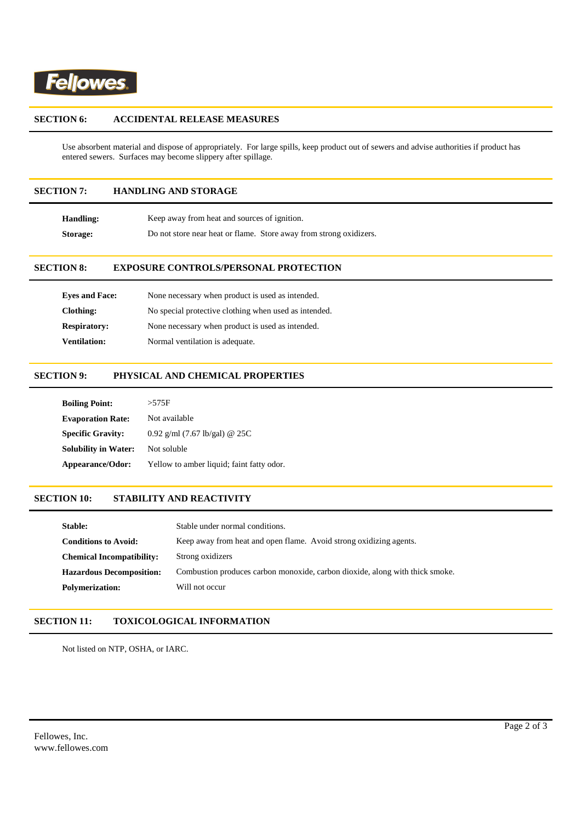

#### **SECTION 6: ACCIDENTAL RELEASE MEASURES**

Use absorbent material and dispose of appropriately. For large spills, keep product out of sewers and advise authorities if product has entered sewers. Surfaces may become slippery after spillage.

# **SECTION 7: HANDLING AND STORAGE**

| Handling: | Keep away from heat and sources of ignition.                       |
|-----------|--------------------------------------------------------------------|
| Storage:  | Do not store near heat or flame. Store away from strong oxidizers. |

## **SECTION 8: EXPOSURE CONTROLS/PERSONAL PROTECTION**

| <b>Eves and Face:</b> | None necessary when product is used as intended.      |
|-----------------------|-------------------------------------------------------|
| Clothing:             | No special protective clothing when used as intended. |
| <b>Respiratory:</b>   | None necessary when product is used as intended.      |
| <b>Ventilation:</b>   | Normal ventilation is adequate.                       |

### **SECTION 9: PHYSICAL AND CHEMICAL PROPERTIES**

| <b>Boiling Point:</b>       | $>575$ F                                  |
|-----------------------------|-------------------------------------------|
| <b>Evaporation Rate:</b>    | Not available                             |
| <b>Specific Gravity:</b>    | 0.92 g/ml $(7.67 \text{ lb/gal})$ @ 25C   |
| <b>Solubility in Water:</b> | Not soluble                               |
| Appearance/Odor:            | Yellow to amber liquid; faint fatty odor. |

# **SECTION 10: STABILITY AND REACTIVITY**

| Stable:                          | Stable under normal conditions.                                              |
|----------------------------------|------------------------------------------------------------------------------|
| <b>Conditions to Avoid:</b>      | Keep away from heat and open flame. Avoid strong oxidizing agents.           |
| <b>Chemical Incompatibility:</b> | Strong oxidizers                                                             |
| <b>Hazardous Decomposition:</b>  | Combustion produces carbon monoxide, carbon dioxide, along with thick smoke. |
| <b>Polymerization:</b>           | Will not occur                                                               |

## **SECTION 11: TOXICOLOGICAL INFORMATION**

Not listed on NTP, OSHA, or IARC.